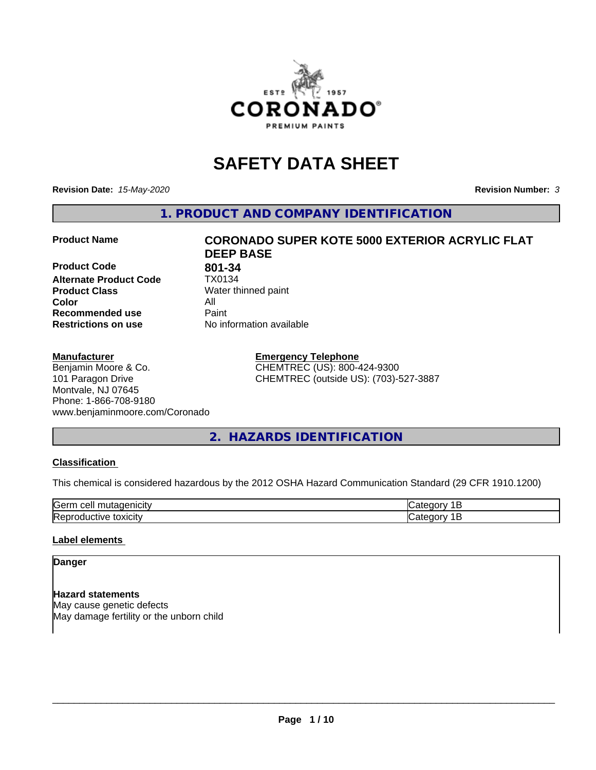

## **SAFETY DATA SHEET**

**Revision Date:** *15-May-2020* **Revision Number:** *3*

**1. PRODUCT AND COMPANY IDENTIFICATION**

**Product Code 801-34**<br>**Alternate Product Code 1X0134 Alternate Product Code**<br>Product Class **Product Class** Water thinned paint<br> **Color** All **Color** All **Recommended use Caint Restrictions on use** No information available

#### **Manufacturer**

Benjamin Moore & Co. 101 Paragon Drive Montvale, NJ 07645 Phone: 1-866-708-9180 www.benjaminmoore.com/Coronado

# **Product Name CORONADO SUPER KOTE 5000 EXTERIOR ACRYLIC FLAT DEEP BASE**

**Emergency Telephone** CHEMTREC (US): 800-424-9300 CHEMTREC (outside US): (703)-527-3887

## **2. HAZARDS IDENTIFICATION**

#### **Classification**

This chemical is considered hazardous by the 2012 OSHA Hazard Communication Standard (29 CFR 1910.1200)

| <b>Gerr</b><br>       |  |
|-----------------------|--|
| חו<br>.<br><b>IRA</b> |  |

#### **Label elements**

#### **Danger**

**Hazard statements** May cause genetic defects May damage fertility or the unborn child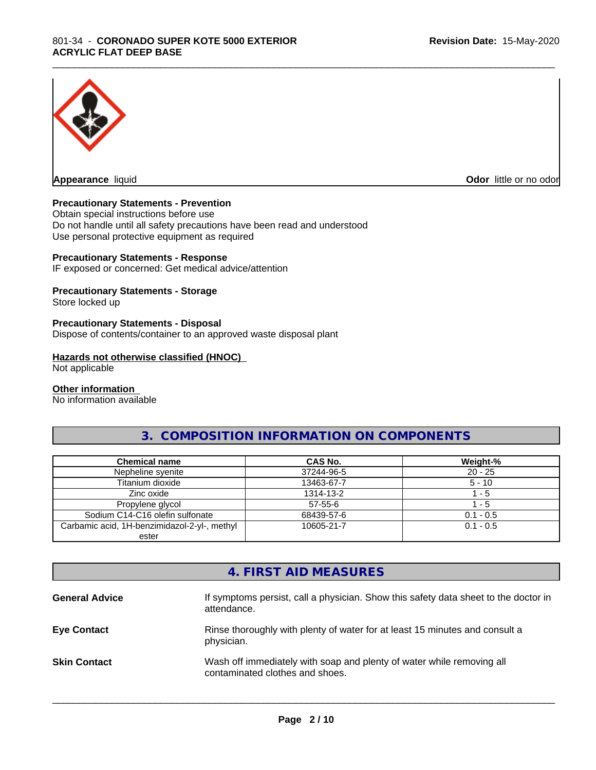

**Appearance** liquid **Odor in the original of the original of the original of the original of the original of the original of the original of the original of the original of the original of the original of the original of t** 

#### **Precautionary Statements - Prevention**

Obtain special instructions before use Do not handle until all safety precautions have been read and understood Use personal protective equipment as required

#### **Precautionary Statements - Response**

IF exposed or concerned: Get medical advice/attention

#### **Precautionary Statements - Storage**

Store locked up

#### **Precautionary Statements - Disposal**

Dispose of contents/container to an approved waste disposal plant

#### **Hazards not otherwise classified (HNOC)**

Not applicable

#### **Other information**

No information available

#### **3. COMPOSITION INFORMATION ON COMPONENTS**

\_\_\_\_\_\_\_\_\_\_\_\_\_\_\_\_\_\_\_\_\_\_\_\_\_\_\_\_\_\_\_\_\_\_\_\_\_\_\_\_\_\_\_\_\_\_\_\_\_\_\_\_\_\_\_\_\_\_\_\_\_\_\_\_\_\_\_\_\_\_\_\_\_\_\_\_\_\_\_\_\_\_\_\_\_\_\_\_\_\_\_\_\_

| <b>Chemical name</b>                         | <b>CAS No.</b> | Weight-%    |
|----------------------------------------------|----------------|-------------|
| Nepheline syenite                            | 37244-96-5     | $20 - 25$   |
| Titanium dioxide                             | 13463-67-7     | $5 - 10$    |
| Zinc oxide                                   | 1314-13-2      | - 5         |
| Propylene glycol                             | $57 - 55 - 6$  | $-5$        |
| Sodium C14-C16 olefin sulfonate              | 68439-57-6     | $0.1 - 0.5$ |
| Carbamic acid, 1H-benzimidazol-2-yl-, methyl | 10605-21-7     | $0.1 - 0.5$ |
| ester                                        |                |             |

#### **4. FIRST AID MEASURES**

| <b>General Advice</b> | If symptoms persist, call a physician. Show this safety data sheet to the doctor in<br>attendance.       |
|-----------------------|----------------------------------------------------------------------------------------------------------|
| <b>Eye Contact</b>    | Rinse thoroughly with plenty of water for at least 15 minutes and consult a<br>physician.                |
| <b>Skin Contact</b>   | Wash off immediately with soap and plenty of water while removing all<br>contaminated clothes and shoes. |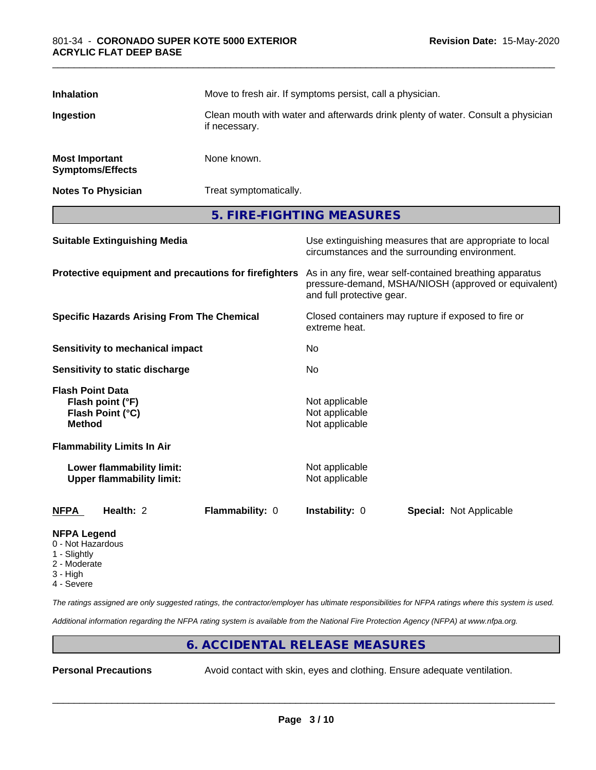| <b>Inhalation</b>                                 |                                                               |                                                                                                   | Move to fresh air. If symptoms persist, call a physician. |                                                                                                                 |  |
|---------------------------------------------------|---------------------------------------------------------------|---------------------------------------------------------------------------------------------------|-----------------------------------------------------------|-----------------------------------------------------------------------------------------------------------------|--|
| Ingestion                                         |                                                               | Clean mouth with water and afterwards drink plenty of water. Consult a physician<br>if necessary. |                                                           |                                                                                                                 |  |
| <b>Most Important</b>                             | <b>Symptoms/Effects</b>                                       | None known.                                                                                       |                                                           |                                                                                                                 |  |
|                                                   | <b>Notes To Physician</b>                                     |                                                                                                   | Treat symptomatically.                                    |                                                                                                                 |  |
|                                                   |                                                               | 5. FIRE-FIGHTING MEASURES                                                                         |                                                           |                                                                                                                 |  |
|                                                   | <b>Suitable Extinguishing Media</b>                           |                                                                                                   |                                                           | Use extinguishing measures that are appropriate to local<br>circumstances and the surrounding environment.      |  |
|                                                   |                                                               | Protective equipment and precautions for firefighters                                             | and full protective gear.                                 | As in any fire, wear self-contained breathing apparatus<br>pressure-demand, MSHA/NIOSH (approved or equivalent) |  |
| <b>Specific Hazards Arising From The Chemical</b> |                                                               | Closed containers may rupture if exposed to fire or<br>extreme heat.                              |                                                           |                                                                                                                 |  |
|                                                   | <b>Sensitivity to mechanical impact</b>                       |                                                                                                   | No                                                        |                                                                                                                 |  |
| <b>Sensitivity to static discharge</b>            |                                                               | No                                                                                                |                                                           |                                                                                                                 |  |
| <b>Flash Point Data</b><br><b>Method</b>          | Flash point (°F)<br>Flash Point (°C)                          |                                                                                                   | Not applicable<br>Not applicable<br>Not applicable        |                                                                                                                 |  |
|                                                   | <b>Flammability Limits In Air</b>                             |                                                                                                   |                                                           |                                                                                                                 |  |
|                                                   | Lower flammability limit:<br><b>Upper flammability limit:</b> |                                                                                                   | Not applicable<br>Not applicable                          |                                                                                                                 |  |
| <b>NFPA</b>                                       | Health: 2                                                     | Flammability: 0                                                                                   | Instability: 0                                            | Special: Not Applicable                                                                                         |  |
| <b>NFPA Legend</b><br>0 - Not Hazardous           |                                                               |                                                                                                   |                                                           |                                                                                                                 |  |

\_\_\_\_\_\_\_\_\_\_\_\_\_\_\_\_\_\_\_\_\_\_\_\_\_\_\_\_\_\_\_\_\_\_\_\_\_\_\_\_\_\_\_\_\_\_\_\_\_\_\_\_\_\_\_\_\_\_\_\_\_\_\_\_\_\_\_\_\_\_\_\_\_\_\_\_\_\_\_\_\_\_\_\_\_\_\_\_\_\_\_\_\_

- 1 Slightly
- 2 Moderate
- 3 High
- 4 Severe

*The ratings assigned are only suggested ratings, the contractor/employer has ultimate responsibilities for NFPA ratings where this system is used.*

*Additional information regarding the NFPA rating system is available from the National Fire Protection Agency (NFPA) at www.nfpa.org.*

#### **6. ACCIDENTAL RELEASE MEASURES**

**Personal Precautions** Avoid contact with skin, eyes and clothing. Ensure adequate ventilation.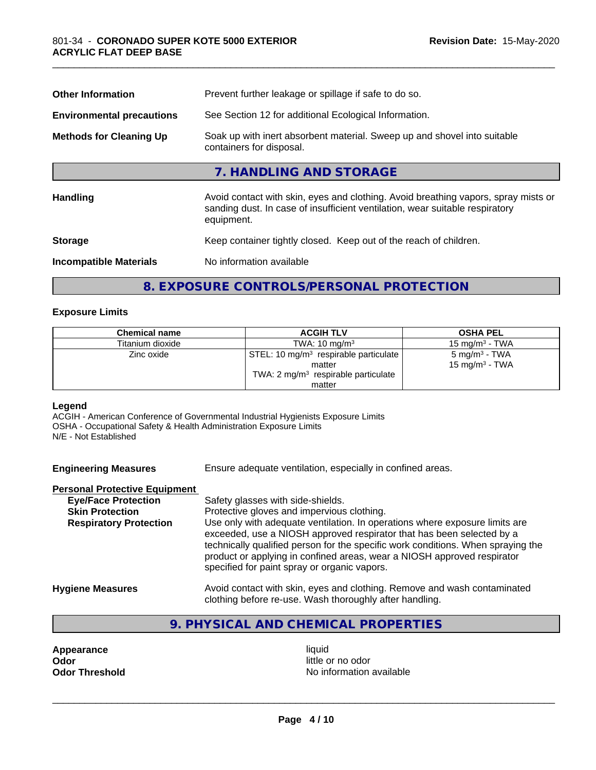| <b>Other Information</b>         | Prevent further leakage or spillage if safe to do so.                                                                                                                            |  |  |
|----------------------------------|----------------------------------------------------------------------------------------------------------------------------------------------------------------------------------|--|--|
| <b>Environmental precautions</b> | See Section 12 for additional Ecological Information.                                                                                                                            |  |  |
| <b>Methods for Cleaning Up</b>   | Soak up with inert absorbent material. Sweep up and shovel into suitable<br>containers for disposal.                                                                             |  |  |
|                                  | 7. HANDLING AND STORAGE                                                                                                                                                          |  |  |
| <b>Handling</b>                  | Avoid contact with skin, eyes and clothing. Avoid breathing vapors, spray mists or<br>sanding dust. In case of insufficient ventilation, wear suitable respiratory<br>equipment. |  |  |
| <b>Storage</b>                   | Keep container tightly closed. Keep out of the reach of children.                                                                                                                |  |  |
| <b>Incompatible Materials</b>    | No information available                                                                                                                                                         |  |  |
|                                  |                                                                                                                                                                                  |  |  |

\_\_\_\_\_\_\_\_\_\_\_\_\_\_\_\_\_\_\_\_\_\_\_\_\_\_\_\_\_\_\_\_\_\_\_\_\_\_\_\_\_\_\_\_\_\_\_\_\_\_\_\_\_\_\_\_\_\_\_\_\_\_\_\_\_\_\_\_\_\_\_\_\_\_\_\_\_\_\_\_\_\_\_\_\_\_\_\_\_\_\_\_\_

#### **8. EXPOSURE CONTROLS/PERSONAL PROTECTION**

#### **Exposure Limits**

| <b>Chemical name</b> | <b>ACGIH TLV</b>                                                                                                | <b>OSHA PEL</b>                                |
|----------------------|-----------------------------------------------------------------------------------------------------------------|------------------------------------------------|
| Titanium dioxide     | TWA: $10 \text{ ma/m}^3$                                                                                        | 15 mg/m $3$ - TWA                              |
| Zinc oxide           | STEL: 10 mg/m <sup>3</sup> respirable particulate  <br>matter<br>TWA: $2 \text{ mg/m}^3$ respirable particulate | 5 mg/m <sup>3</sup> - TWA<br>15 mg/m $3$ - TWA |
|                      | matter                                                                                                          |                                                |

#### **Legend**

ACGIH - American Conference of Governmental Industrial Hygienists Exposure Limits OSHA - Occupational Safety & Health Administration Exposure Limits N/E - Not Established

| <b>Engineering Measures</b> | Ensure adequate ventilation, especially in confined areas. |
|-----------------------------|------------------------------------------------------------|
|                             |                                                            |

#### **Personal Protective Equipment**

| <b>Eye/Face Protection</b>    | Safety glasses with side-shields.                                                                                                                                                                                                                                                                                                                                   |
|-------------------------------|---------------------------------------------------------------------------------------------------------------------------------------------------------------------------------------------------------------------------------------------------------------------------------------------------------------------------------------------------------------------|
| <b>Skin Protection</b>        | Protective gloves and impervious clothing.                                                                                                                                                                                                                                                                                                                          |
| <b>Respiratory Protection</b> | Use only with adequate ventilation. In operations where exposure limits are<br>exceeded, use a NIOSH approved respirator that has been selected by a<br>technically qualified person for the specific work conditions. When spraying the<br>product or applying in confined areas, wear a NIOSH approved respirator<br>specified for paint spray or organic vapors. |
| <b>Llugiana Magauras</b>      | Avoid contact with alin, avec and alathing. Bemove and week conteminated                                                                                                                                                                                                                                                                                            |

**Hygiene Measures** Avoid contact with skin, eyes and clothing. Remove and wash contaminated clothing before re-use. Wash thoroughly after handling.

#### **9. PHYSICAL AND CHEMICAL PROPERTIES**

**Appearance** liquid **and a limitation of the contract of the contract of the contract of the contract of the contract of the contract of the contract of the contract of the contract of the contract of the contract of the c Odor**<br> **Odor Threshold**<br> **Odor Threshold CODOR CODOR CODOR CODOR CODOR CODOR CODOR CODOR CODOR CODOR CODOR** 

**No information available**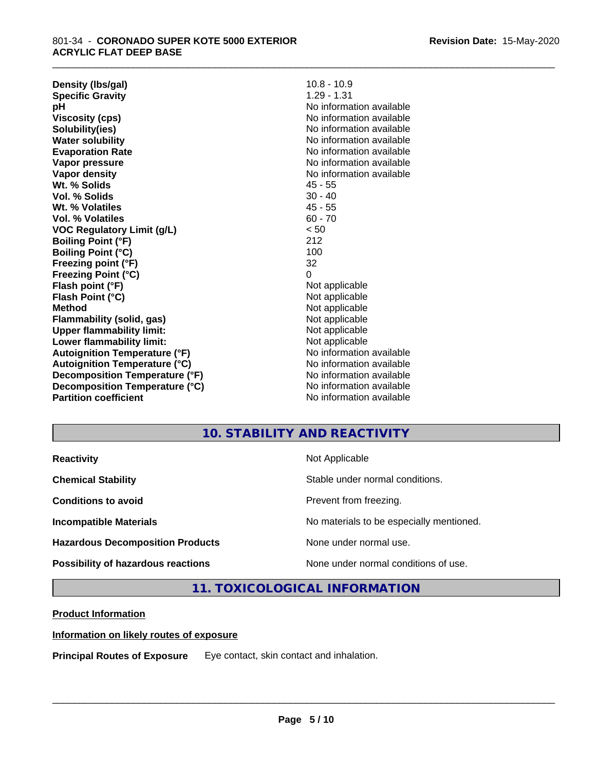**Density (lbs/gal)** 10.8 - 10.9<br> **Specific Gravity** 1.29 - 1.31 **Specific Gravity pH** No information available **Viscosity (cps)** No information available **Solubility(ies)** No information available **Water solubility Water solubility Water solubility Water solubility Water solubility Water solution Evaporation Rate** Note 2008 and 2009 No information available **Vapor pressure** No information available in the North American Monte available in the North American available **Vapor density** No information available **Wt. % Solids** 45 - 55 **Vol. % Solids** 30 - 40 **Wt. % Volatiles** 45 - 55 **Vol. % Volatiles** 60 - 70 **VOC Regulatory Limit (g/L)** < 50 **Boiling Point (°F)** 212 **Boiling Point (°C)** 100 **Freezing point (°F)** 32 **Freezing Point (°C)** 0 **Flash point (°F)**<br> **Flash Point (°C)**<br> **Flash Point (°C)**<br> **Not** applicable **Flash Point (°C) Method** Not applicable **Flammability (solid, gas)** Not applicable **Upper flammability limit:**<br> **Lower flammability limit:**<br>
Not applicable<br>
Not applicable **Lower flammability limit:**<br> **Autoignition Temperature (°F)** Not applicable havailable available **Autoignition Temperature (°F)**<br> **Autoignition Temperature (°C)** No information available **Autoignition Temperature (°C) Decomposition Temperature (°F)** No information available **Decomposition Temperature (°C)**<br> **Partition coefficient**<br> **Partition coefficient**<br> **No** information available

**No information available** 

\_\_\_\_\_\_\_\_\_\_\_\_\_\_\_\_\_\_\_\_\_\_\_\_\_\_\_\_\_\_\_\_\_\_\_\_\_\_\_\_\_\_\_\_\_\_\_\_\_\_\_\_\_\_\_\_\_\_\_\_\_\_\_\_\_\_\_\_\_\_\_\_\_\_\_\_\_\_\_\_\_\_\_\_\_\_\_\_\_\_\_\_\_

### **10. STABILITY AND REACTIVITY**

| <b>Reactivity</b>                       | Not Applicable                           |
|-----------------------------------------|------------------------------------------|
| <b>Chemical Stability</b>               | Stable under normal conditions.          |
| <b>Conditions to avoid</b>              | Prevent from freezing.                   |
| <b>Incompatible Materials</b>           | No materials to be especially mentioned. |
| <b>Hazardous Decomposition Products</b> | None under normal use.                   |
| Possibility of hazardous reactions      | None under normal conditions of use.     |

**11. TOXICOLOGICAL INFORMATION**

#### **Product Information**

#### **Information on likely routes of exposure**

**Principal Routes of Exposure** Eye contact, skin contact and inhalation.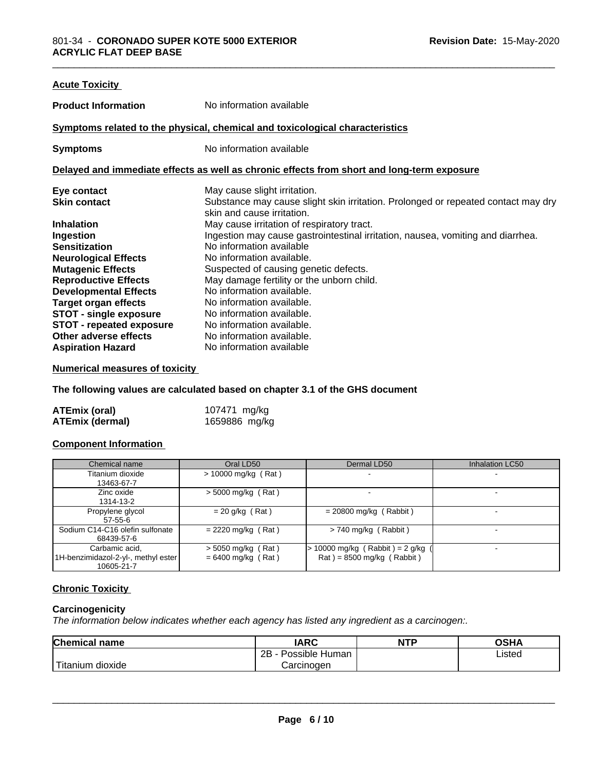| <b>Acute Toxicity</b>           |                                                                                                                 |
|---------------------------------|-----------------------------------------------------------------------------------------------------------------|
| <b>Product Information</b>      | No information available                                                                                        |
|                                 | Symptoms related to the physical, chemical and toxicological characteristics                                    |
| <b>Symptoms</b>                 | No information available                                                                                        |
|                                 | Delayed and immediate effects as well as chronic effects from short and long-term exposure                      |
| Eye contact                     | May cause slight irritation.                                                                                    |
| <b>Skin contact</b>             | Substance may cause slight skin irritation. Prolonged or repeated contact may dry<br>skin and cause irritation. |
| <b>Inhalation</b>               | May cause irritation of respiratory tract.                                                                      |
| Ingestion                       | Ingestion may cause gastrointestinal irritation, nausea, vomiting and diarrhea.                                 |
| <b>Sensitization</b>            | No information available                                                                                        |
| <b>Neurological Effects</b>     | No information available.                                                                                       |
| <b>Mutagenic Effects</b>        | Suspected of causing genetic defects.                                                                           |
| <b>Reproductive Effects</b>     | May damage fertility or the unborn child.                                                                       |
| <b>Developmental Effects</b>    | No information available.                                                                                       |
| <b>Target organ effects</b>     | No information available.                                                                                       |
| <b>STOT - single exposure</b>   | No information available.                                                                                       |
| <b>STOT - repeated exposure</b> | No information available.                                                                                       |
| Other adverse effects           | No information available.                                                                                       |
| <b>Aspiration Hazard</b>        | No information available                                                                                        |

#### **Numerical measures of toxicity**

**The following values are calculated based on chapter 3.1 of the GHS document**

| <b>ATEmix (oral)</b>   | 107471 mg/kg  |
|------------------------|---------------|
| <b>ATEmix (dermal)</b> | 1659886 mg/kg |

#### **Component Information**

| Chemical name                                                       | Oral LD50                                    | Dermal LD50                                                     | <b>Inhalation LC50</b>   |
|---------------------------------------------------------------------|----------------------------------------------|-----------------------------------------------------------------|--------------------------|
| Titanium dioxide<br>13463-67-7                                      | $> 10000$ mg/kg (Rat)                        |                                                                 |                          |
| Zinc oxide<br>1314-13-2                                             | $>$ 5000 mg/kg (Rat)                         |                                                                 |                          |
| Propylene glycol<br>57-55-6                                         | $= 20$ g/kg (Rat)                            | $= 20800$ mg/kg (Rabbit)                                        |                          |
| Sodium C14-C16 olefin sulfonate<br>68439-57-6                       | $= 2220$ mg/kg (Rat)                         | $>$ 740 mg/kg (Rabbit)                                          | $\overline{\phantom{0}}$ |
| Carbamic acid,<br>1H-benzimidazol-2-yl-, methyl ester<br>10605-21-7 | $>$ 5050 mg/kg (Rat)<br>$= 6400$ mg/kg (Rat) | $-10000$ mg/kg (Rabbit) = 2 g/kg<br>$Rat$ = 8500 mg/kg (Rabbit) |                          |

#### **Chronic Toxicity**

#### **Carcinogenicity**

*The information below indicateswhether each agency has listed any ingredient as a carcinogen:.*

| <b>Chemical name</b>                   | <b>IARC</b>          | <b>NTP</b> | OSHA   |  |
|----------------------------------------|----------------------|------------|--------|--|
|                                        | Possible Human<br>2B |            | Listed |  |
| $\dot{}$ Titanium $\ddot{}$<br>dioxide | Carcinoɑen           |            |        |  |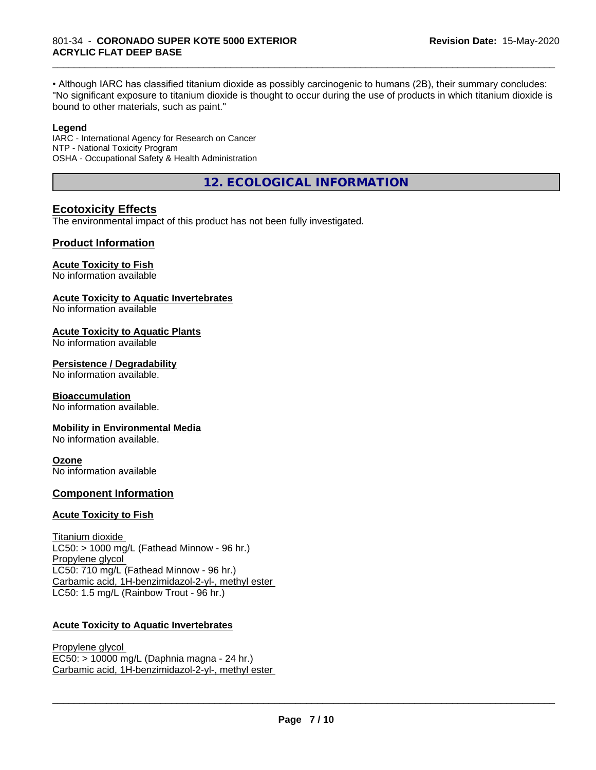• Although IARC has classified titanium dioxide as possibly carcinogenic to humans (2B), their summary concludes: "No significant exposure to titanium dioxide is thought to occur during the use of products in which titanium dioxide is bound to other materials, such as paint."

\_\_\_\_\_\_\_\_\_\_\_\_\_\_\_\_\_\_\_\_\_\_\_\_\_\_\_\_\_\_\_\_\_\_\_\_\_\_\_\_\_\_\_\_\_\_\_\_\_\_\_\_\_\_\_\_\_\_\_\_\_\_\_\_\_\_\_\_\_\_\_\_\_\_\_\_\_\_\_\_\_\_\_\_\_\_\_\_\_\_\_\_\_

#### **Legend**

IARC - International Agency for Research on Cancer NTP - National Toxicity Program OSHA - Occupational Safety & Health Administration

**12. ECOLOGICAL INFORMATION**

#### **Ecotoxicity Effects**

The environmental impact of this product has not been fully investigated.

#### **Product Information**

#### **Acute Toxicity to Fish**

No information available

#### **Acute Toxicity to Aquatic Invertebrates**

No information available

#### **Acute Toxicity to Aquatic Plants**

No information available

#### **Persistence / Degradability**

No information available.

#### **Bioaccumulation**

No information available.

#### **Mobility in Environmental Media**

No information available.

#### **Ozone**

No information available

#### **Component Information**

#### **Acute Toxicity to Fish**

Titanium dioxide  $LC50:$  > 1000 mg/L (Fathead Minnow - 96 hr.) Propylene glycol LC50: 710 mg/L (Fathead Minnow - 96 hr.) Carbamic acid, 1H-benzimidazol-2-yl-, methyl ester LC50: 1.5 mg/L (Rainbow Trout - 96 hr.)

#### **Acute Toxicity to Aquatic Invertebrates**

Propylene glycol EC50: > 10000 mg/L (Daphnia magna - 24 hr.) Carbamic acid, 1H-benzimidazol-2-yl-, methyl ester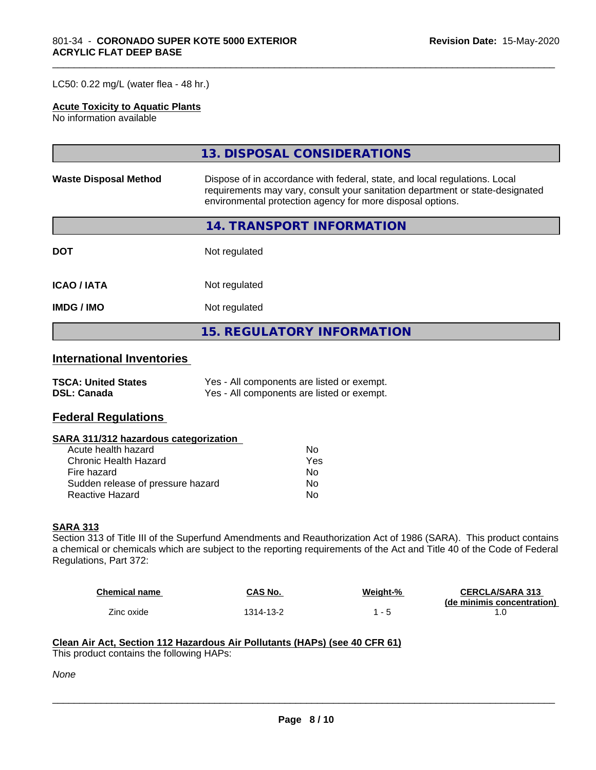#### LC50: 0.22 mg/L (water flea - 48 hr.)

#### **Acute Toxicity to Aquatic Plants**

No information available

|                              | 13. DISPOSAL CONSIDERATIONS                                                                                                                                                                                               |  |  |
|------------------------------|---------------------------------------------------------------------------------------------------------------------------------------------------------------------------------------------------------------------------|--|--|
| <b>Waste Disposal Method</b> | Dispose of in accordance with federal, state, and local regulations. Local<br>requirements may vary, consult your sanitation department or state-designated<br>environmental protection agency for more disposal options. |  |  |
|                              | <b>14. TRANSPORT INFORMATION</b>                                                                                                                                                                                          |  |  |
| <b>DOT</b>                   | Not regulated                                                                                                                                                                                                             |  |  |
| <b>ICAO/IATA</b>             | Not regulated                                                                                                                                                                                                             |  |  |
| <b>IMDG/IMO</b>              | Not regulated                                                                                                                                                                                                             |  |  |
|                              | <b>15. REGULATORY INFORMATION</b>                                                                                                                                                                                         |  |  |

\_\_\_\_\_\_\_\_\_\_\_\_\_\_\_\_\_\_\_\_\_\_\_\_\_\_\_\_\_\_\_\_\_\_\_\_\_\_\_\_\_\_\_\_\_\_\_\_\_\_\_\_\_\_\_\_\_\_\_\_\_\_\_\_\_\_\_\_\_\_\_\_\_\_\_\_\_\_\_\_\_\_\_\_\_\_\_\_\_\_\_\_\_

#### **International Inventories**

| <b>TSCA: United States</b> | Yes - All components are listed or exempt. |
|----------------------------|--------------------------------------------|
| <b>DSL: Canada</b>         | Yes - All components are listed or exempt. |

#### **Federal Regulations**

#### **SARA 311/312 hazardous categorization**

| Acute health hazard               | Nο  |
|-----------------------------------|-----|
| Chronic Health Hazard             | Yes |
| Fire hazard                       | N٥  |
| Sudden release of pressure hazard | N٥  |
| Reactive Hazard                   | N٥  |

#### **SARA 313**

Section 313 of Title III of the Superfund Amendments and Reauthorization Act of 1986 (SARA). This product contains a chemical or chemicals which are subject to the reporting requirements of the Act and Title 40 of the Code of Federal Regulations, Part 372:

| <b>Chemical name</b> | CAS No.   | Weight-% | <b>CERCLA/SARA 313</b>     |
|----------------------|-----------|----------|----------------------------|
|                      |           |          | (de minimis concentration) |
| Zinc oxide           | 1314-13-2 |          |                            |

 $\overline{\phantom{a}}$  ,  $\overline{\phantom{a}}$  ,  $\overline{\phantom{a}}$  ,  $\overline{\phantom{a}}$  ,  $\overline{\phantom{a}}$  ,  $\overline{\phantom{a}}$  ,  $\overline{\phantom{a}}$  ,  $\overline{\phantom{a}}$  ,  $\overline{\phantom{a}}$  ,  $\overline{\phantom{a}}$  ,  $\overline{\phantom{a}}$  ,  $\overline{\phantom{a}}$  ,  $\overline{\phantom{a}}$  ,  $\overline{\phantom{a}}$  ,  $\overline{\phantom{a}}$  ,  $\overline{\phantom{a}}$ 

#### **Clean Air Act,Section 112 Hazardous Air Pollutants (HAPs) (see 40 CFR 61)**

This product contains the following HAPs:

*None*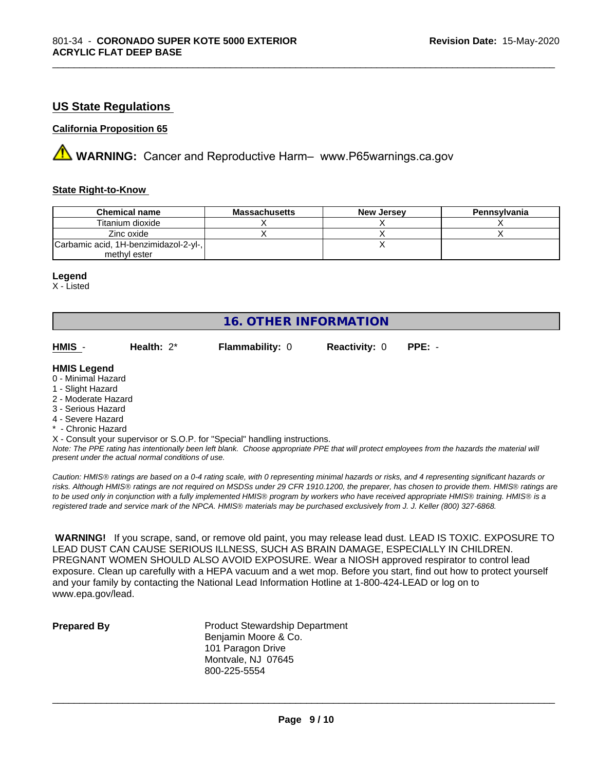#### **US State Regulations**

#### **California Proposition 65**

**AVIMARNING:** Cancer and Reproductive Harm– www.P65warnings.ca.gov

#### **State Right-to-Know**

| <b>Chemical name</b>                  | <b>Massachusetts</b> | <b>New Jersey</b> | Pennsylvania |
|---------------------------------------|----------------------|-------------------|--------------|
| Titanium dioxide                      |                      |                   |              |
| Zinc oxide                            |                      |                   |              |
| Carbamic acid, 1H-benzimidazol-2-yl-, |                      |                   |              |
| methyl ester                          |                      |                   |              |

\_\_\_\_\_\_\_\_\_\_\_\_\_\_\_\_\_\_\_\_\_\_\_\_\_\_\_\_\_\_\_\_\_\_\_\_\_\_\_\_\_\_\_\_\_\_\_\_\_\_\_\_\_\_\_\_\_\_\_\_\_\_\_\_\_\_\_\_\_\_\_\_\_\_\_\_\_\_\_\_\_\_\_\_\_\_\_\_\_\_\_\_\_

#### **Legend**

X - Listed

#### **16. OTHER INFORMATION**

| HMIS | Health: $2^*$ | <b>Flammability: 0</b> | <b>Reactivity: 0 PPE: -</b> |  |
|------|---------------|------------------------|-----------------------------|--|
|      |               |                        |                             |  |

#### **HMIS Legend**

- 0 Minimal Hazard
- 1 Slight Hazard
- 2 Moderate Hazard
- 3 Serious Hazard
- 4 Severe Hazard
- \* Chronic Hazard
- X Consult your supervisor or S.O.P. for "Special" handling instructions.

*Note: The PPE rating has intentionally been left blank. Choose appropriate PPE that will protect employees from the hazards the material will present under the actual normal conditions of use.*

*Caution: HMISÒ ratings are based on a 0-4 rating scale, with 0 representing minimal hazards or risks, and 4 representing significant hazards or risks. Although HMISÒ ratings are not required on MSDSs under 29 CFR 1910.1200, the preparer, has chosen to provide them. HMISÒ ratings are to be used only in conjunction with a fully implemented HMISÒ program by workers who have received appropriate HMISÒ training. HMISÒ is a registered trade and service mark of the NPCA. HMISÒ materials may be purchased exclusively from J. J. Keller (800) 327-6868.*

 **WARNING!** If you scrape, sand, or remove old paint, you may release lead dust. LEAD IS TOXIC. EXPOSURE TO LEAD DUST CAN CAUSE SERIOUS ILLNESS, SUCH AS BRAIN DAMAGE, ESPECIALLY IN CHILDREN. PREGNANT WOMEN SHOULD ALSO AVOID EXPOSURE.Wear a NIOSH approved respirator to control lead exposure. Clean up carefully with a HEPA vacuum and a wet mop. Before you start, find out how to protect yourself and your family by contacting the National Lead Information Hotline at 1-800-424-LEAD or log on to www.epa.gov/lead.

**Prepared By** Product Stewardship Department Benjamin Moore & Co. 101 Paragon Drive Montvale, NJ 07645 800-225-5554